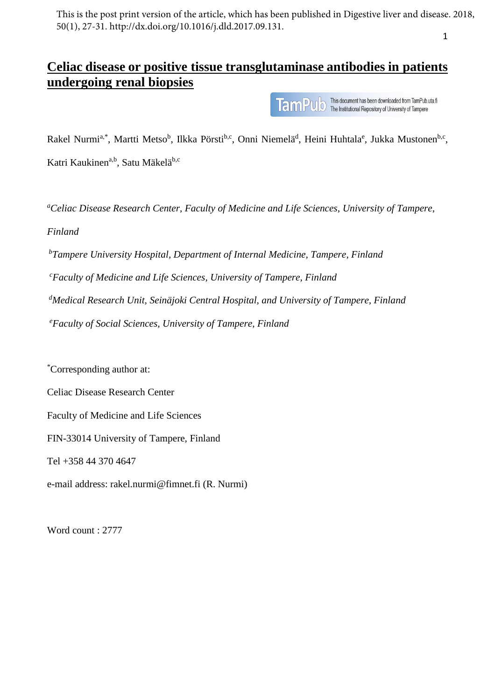1 This is the post print version of the article, which has been published in Digestive liver and disease. 2018, 50(1), 27-31. http://dx.doi.org/10.1016/j.dld.2017.09.131.

# **Celiac disease or positive tissue transglutaminase antibodies in patients undergoing renal biopsies**

This document has been downloaded from TamPub.uta.fi **TamPUD** This document has been downloaded from TamPub.<br>TamPUD The Institutional Repository of University of Tampere

Rakel Nurmi<sup>a,\*</sup>, Martti Metso<sup>b</sup>, Ilkka Pörsti<sup>b,c</sup>, Onni Niemelä<sup>d</sup>, Heini Huhtala<sup>e</sup>, Jukka Mustonen<sup>b,c</sup>, Katri Kaukinen<sup>a,b</sup>, Satu Mäkelä<sup>b,c</sup>

*<sup>a</sup>Celiac Disease Research Center, Faculty of Medicine and Life Sciences, University of Tampere, Finland*

*<sup>b</sup>Tampere University Hospital, Department of Internal Medicine, Tampere, Finland*

*<sup>c</sup>Faculty of Medicine and Life Sciences, University of Tampere, Finland*

*<sup>d</sup>Medical Research Unit, Seinäjoki Central Hospital, and University of Tampere, Finland*

*<sup>e</sup>Faculty of Social Sciences, University of Tampere, Finland*

\*Corresponding author at:

Celiac Disease Research Center

Faculty of Medicine and Life Sciences

FIN-33014 University of Tampere, Finland

Tel +358 44 370 4647

e-mail address: [rakel.nurmi@fimnet.fi](mailto:rakel.nurmi@fimnet.fi) (R. Nurmi)

Word count : 2777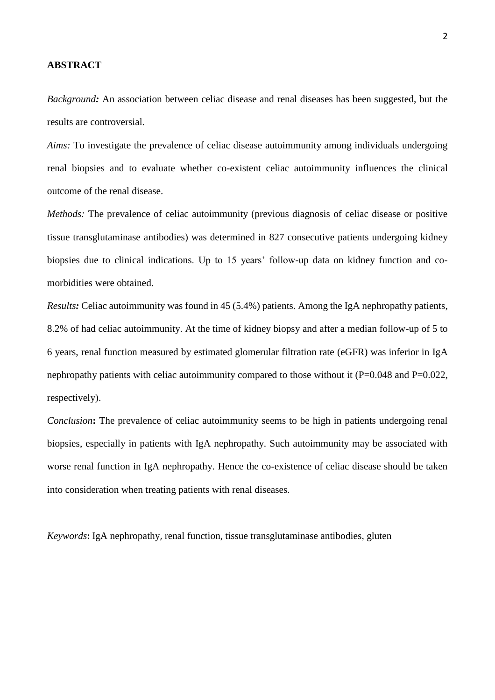#### **ABSTRACT**

*Background:* An association between celiac disease and renal diseases has been suggested, but the results are controversial.

*Aims:* To investigate the prevalence of celiac disease autoimmunity among individuals undergoing renal biopsies and to evaluate whether co-existent celiac autoimmunity influences the clinical outcome of the renal disease.

*Methods:* The prevalence of celiac autoimmunity (previous diagnosis of celiac disease or positive tissue transglutaminase antibodies) was determined in 827 consecutive patients undergoing kidney biopsies due to clinical indications. Up to 15 years' follow-up data on kidney function and comorbidities were obtained.

*Results:* Celiac autoimmunity was found in 45 (5.4%) patients. Among the IgA nephropathy patients, 8.2% of had celiac autoimmunity. At the time of kidney biopsy and after a median follow-up of 5 to 6 years, renal function measured by estimated glomerular filtration rate (eGFR) was inferior in IgA nephropathy patients with celiac autoimmunity compared to those without it (P=0.048 and P=0.022, respectively).

*Conclusion*: The prevalence of celiac autoimmunity seems to be high in patients undergoing renal biopsies, especially in patients with IgA nephropathy. Such autoimmunity may be associated with worse renal function in IgA nephropathy. Hence the co-existence of celiac disease should be taken into consideration when treating patients with renal diseases.

*Keywords***:** IgA nephropathy, renal function, tissue transglutaminase antibodies, gluten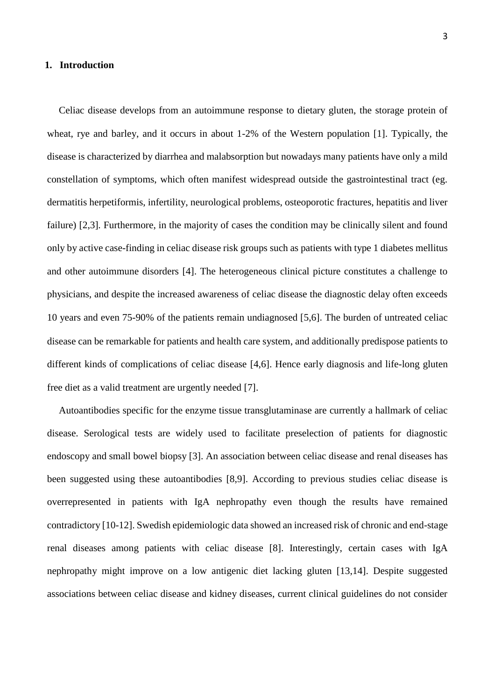#### **1. Introduction**

Celiac disease develops from an autoimmune response to dietary gluten, the storage protein of wheat, rye and barley, and it occurs in about 1-2% of the Western population [1]. Typically, the disease is characterized by diarrhea and malabsorption but nowadays many patients have only a mild constellation of symptoms, which often manifest widespread outside the gastrointestinal tract (eg. dermatitis herpetiformis, infertility, neurological problems, osteoporotic fractures, hepatitis and liver failure) [2,3]. Furthermore, in the majority of cases the condition may be clinically silent and found only by active case-finding in celiac disease risk groups such as patients with type 1 diabetes mellitus and other autoimmune disorders [4]. The heterogeneous clinical picture constitutes a challenge to physicians, and despite the increased awareness of celiac disease the diagnostic delay often exceeds 10 years and even 75-90% of the patients remain undiagnosed [5,6]. The burden of untreated celiac disease can be remarkable for patients and health care system, and additionally predispose patients to different kinds of complications of celiac disease [4,6]. Hence early diagnosis and life-long gluten free diet as a valid treatment are urgently needed [7].

Autoantibodies specific for the enzyme tissue transglutaminase are currently a hallmark of celiac disease. Serological tests are widely used to facilitate preselection of patients for diagnostic endoscopy and small bowel biopsy [3]. An association between celiac disease and renal diseases has been suggested using these autoantibodies [8,9]. According to previous studies celiac disease is overrepresented in patients with IgA nephropathy even though the results have remained contradictory [10-12]. Swedish epidemiologic data showed an increased risk of chronic and end-stage renal diseases among patients with celiac disease [8]. Interestingly, certain cases with IgA nephropathy might improve on a low antigenic diet lacking gluten [13,14]. Despite suggested associations between celiac disease and kidney diseases, current clinical guidelines do not consider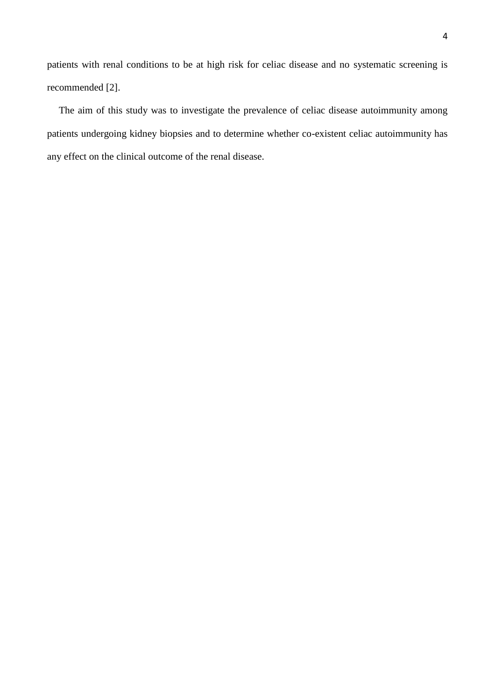patients with renal conditions to be at high risk for celiac disease and no systematic screening is recommended [2].

The aim of this study was to investigate the prevalence of celiac disease autoimmunity among patients undergoing kidney biopsies and to determine whether co-existent celiac autoimmunity has any effect on the clinical outcome of the renal disease.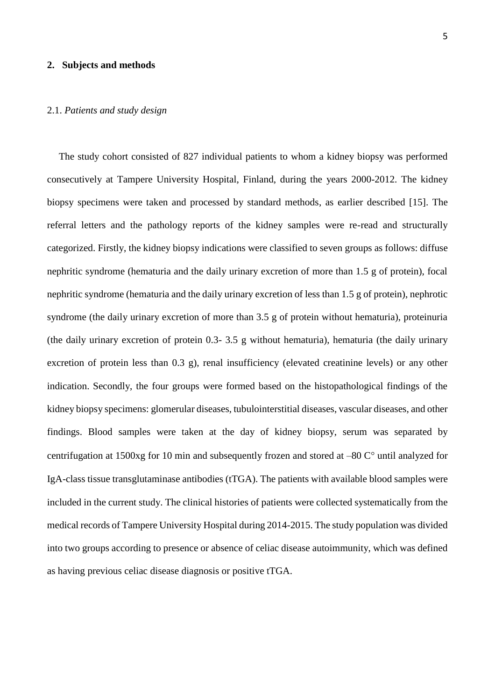#### **2. Subjects and methods**

#### 2.1. *Patients and study design*

The study cohort consisted of 827 individual patients to whom a kidney biopsy was performed consecutively at Tampere University Hospital, Finland, during the years 2000-2012. The kidney biopsy specimens were taken and processed by standard methods, as earlier described [15]. The referral letters and the pathology reports of the kidney samples were re-read and structurally categorized. Firstly, the kidney biopsy indications were classified to seven groups as follows: diffuse nephritic syndrome (hematuria and the daily urinary excretion of more than 1.5 g of protein), focal nephritic syndrome (hematuria and the daily urinary excretion of less than 1.5 g of protein), nephrotic syndrome (the daily urinary excretion of more than 3.5 g of protein without hematuria), proteinuria (the daily urinary excretion of protein 0.3- 3.5 g without hematuria), hematuria (the daily urinary excretion of protein less than 0.3 g), renal insufficiency (elevated creatinine levels) or any other indication. Secondly, the four groups were formed based on the histopathological findings of the kidney biopsy specimens: glomerular diseases, tubulointerstitial diseases, vascular diseases, and other findings. Blood samples were taken at the day of kidney biopsy, serum was separated by centrifugation at 1500xg for 10 min and subsequently frozen and stored at  $-80$  C $\degree$  until analyzed for IgA-class tissue transglutaminase antibodies (tTGA). The patients with available blood samples were included in the current study. The clinical histories of patients were collected systematically from the medical records of Tampere University Hospital during 2014-2015. The study population was divided into two groups according to presence or absence of celiac disease autoimmunity, which was defined as having previous celiac disease diagnosis or positive tTGA.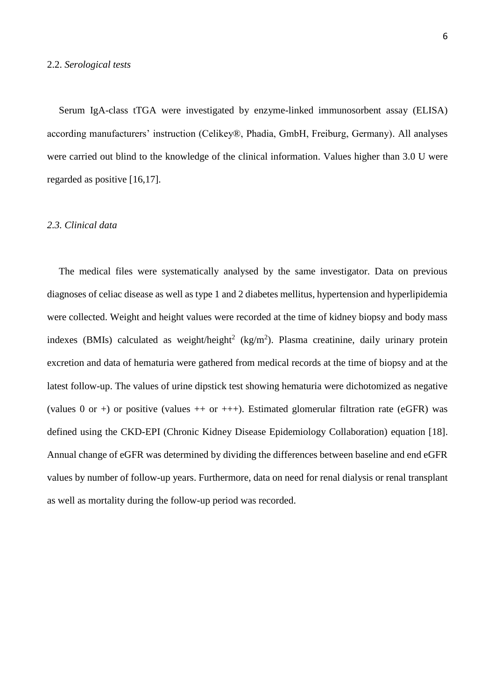Serum IgA-class tTGA were investigated by enzyme-linked immunosorbent assay (ELISA) according manufacturers' instruction (Celikey®, Phadia, GmbH, Freiburg, Germany). All analyses were carried out blind to the knowledge of the clinical information. Values higher than 3.0 U were regarded as positive [16,17]*.*

#### *2.3. Clinical data*

The medical files were systematically analysed by the same investigator. Data on previous diagnoses of celiac disease as well as type 1 and 2 diabetes mellitus, hypertension and hyperlipidemia were collected. Weight and height values were recorded at the time of kidney biopsy and body mass indexes (BMIs) calculated as weight/height<sup>2</sup> (kg/m<sup>2</sup>). Plasma creatinine, daily urinary protein excretion and data of hematuria were gathered from medical records at the time of biopsy and at the latest follow-up. The values of urine dipstick test showing hematuria were dichotomized as negative (values 0 or +) or positive (values  $++$  or  $++$ ). Estimated glomerular filtration rate (eGFR) was defined using the CKD-EPI (Chronic Kidney Disease Epidemiology Collaboration) equation [18]. Annual change of eGFR was determined by dividing the differences between baseline and end eGFR values by number of follow-up years. Furthermore, data on need for renal dialysis or renal transplant as well as mortality during the follow-up period was recorded.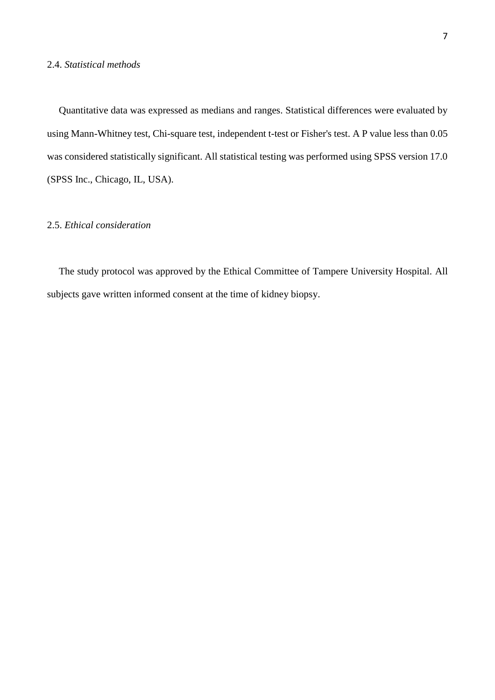#### 2.4. *Statistical methods*

Quantitative data was expressed as medians and ranges. Statistical differences were evaluated by using Mann-Whitney test, Chi-square test, independent t-test or Fisher's test. A P value less than 0.05 was considered statistically significant. All statistical testing was performed using SPSS version 17.0 (SPSS Inc., Chicago, IL, USA).

### 2.5. *Ethical consideration*

The study protocol was approved by the Ethical Committee of Tampere University Hospital. All subjects gave written informed consent at the time of kidney biopsy.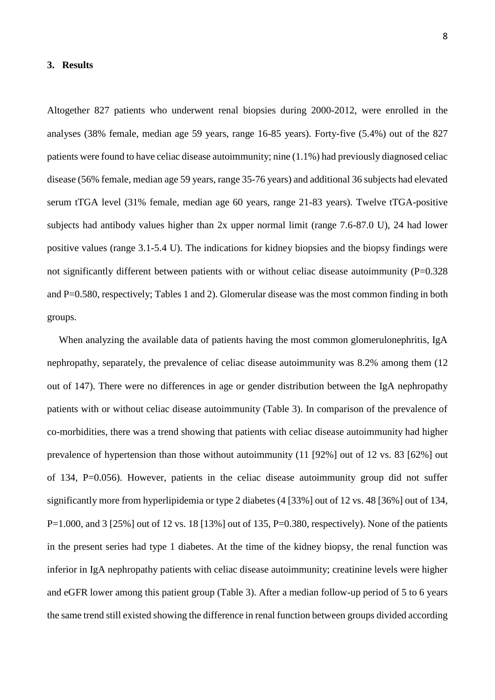#### **3. Results**

Altogether 827 patients who underwent renal biopsies during 2000-2012, were enrolled in the analyses (38% female, median age 59 years, range 16-85 years). Forty-five (5.4%) out of the 827 patients were found to have celiac disease autoimmunity; nine (1.1%) had previously diagnosed celiac disease (56% female, median age 59 years, range 35-76 years) and additional 36 subjects had elevated serum tTGA level (31% female, median age 60 years, range 21-83 years). Twelve tTGA-positive subjects had antibody values higher than 2x upper normal limit (range 7.6-87.0 U), 24 had lower positive values (range 3.1-5.4 U). The indications for kidney biopsies and the biopsy findings were not significantly different between patients with or without celiac disease autoimmunity (P=0.328) and P=0.580, respectively; Tables 1 and 2). Glomerular disease was the most common finding in both groups.

When analyzing the available data of patients having the most common glomerulonephritis, IgA nephropathy, separately, the prevalence of celiac disease autoimmunity was 8.2% among them (12 out of 147). There were no differences in age or gender distribution between the IgA nephropathy patients with or without celiac disease autoimmunity (Table 3). In comparison of the prevalence of co-morbidities, there was a trend showing that patients with celiac disease autoimmunity had higher prevalence of hypertension than those without autoimmunity (11 [92%] out of 12 vs. 83 [62%] out of 134, P=0.056). However, patients in the celiac disease autoimmunity group did not suffer significantly more from hyperlipidemia or type 2 diabetes (4 [33%] out of 12 vs. 48 [36%] out of 134, P=1.000, and 3 [25%] out of 12 vs. 18 [13%] out of 135, P=0.380, respectively). None of the patients in the present series had type 1 diabetes. At the time of the kidney biopsy, the renal function was inferior in IgA nephropathy patients with celiac disease autoimmunity; creatinine levels were higher and eGFR lower among this patient group (Table 3). After a median follow-up period of 5 to 6 years the same trend still existed showing the difference in renal function between groups divided according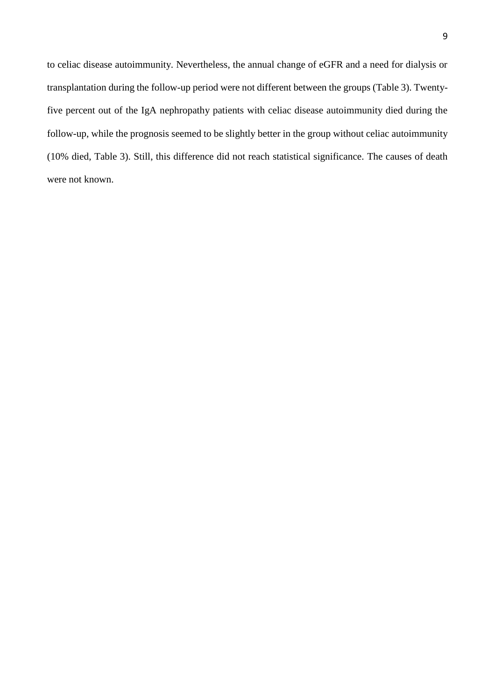to celiac disease autoimmunity. Nevertheless, the annual change of eGFR and a need for dialysis or transplantation during the follow-up period were not different between the groups (Table 3). Twentyfive percent out of the IgA nephropathy patients with celiac disease autoimmunity died during the follow-up, while the prognosis seemed to be slightly better in the group without celiac autoimmunity (10% died, Table 3). Still, this difference did not reach statistical significance. The causes of death were not known.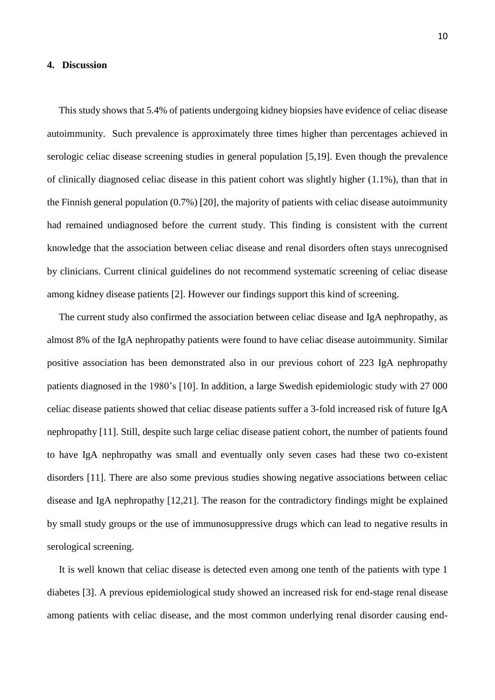#### **4. Discussion**

This study shows that 5.4% of patients undergoing kidney biopsies have evidence of celiac disease autoimmunity. Such prevalence is approximately three times higher than percentages achieved in serologic celiac disease screening studies in general population [5,19]. Even though the prevalence of clinically diagnosed celiac disease in this patient cohort was slightly higher (1.1%), than that in the Finnish general population (0.7%) [20], the majority of patients with celiac disease autoimmunity had remained undiagnosed before the current study. This finding is consistent with the current knowledge that the association between celiac disease and renal disorders often stays unrecognised by clinicians. Current clinical guidelines do not recommend systematic screening of celiac disease among kidney disease patients [2]. However our findings support this kind of screening.

The current study also confirmed the association between celiac disease and IgA nephropathy, as almost 8% of the IgA nephropathy patients were found to have celiac disease autoimmunity. Similar positive association has been demonstrated also in our previous cohort of 223 IgA nephropathy patients diagnosed in the 1980's [10]. In addition, a large Swedish epidemiologic study with 27 000 celiac disease patients showed that celiac disease patients suffer a 3-fold increased risk of future IgA nephropathy [11]. Still, despite such large celiac disease patient cohort, the number of patients found to have IgA nephropathy was small and eventually only seven cases had these two co-existent disorders [11]. There are also some previous studies showing negative associations between celiac disease and IgA nephropathy [12,21]. The reason for the contradictory findings might be explained by small study groups or the use of immunosuppressive drugs which can lead to negative results in serological screening.

It is well known that celiac disease is detected even among one tenth of the patients with type 1 diabetes [3]. A previous epidemiological study showed an increased risk for end-stage renal disease among patients with celiac disease, and the most common underlying renal disorder causing end-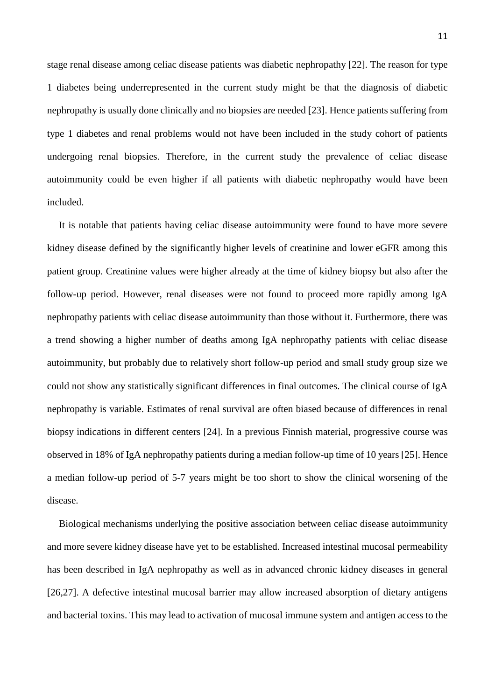stage renal disease among celiac disease patients was diabetic nephropathy [22]. The reason for type 1 diabetes being underrepresented in the current study might be that the diagnosis of diabetic nephropathy is usually done clinically and no biopsies are needed [23]. Hence patients suffering from type 1 diabetes and renal problems would not have been included in the study cohort of patients undergoing renal biopsies. Therefore, in the current study the prevalence of celiac disease autoimmunity could be even higher if all patients with diabetic nephropathy would have been included.

It is notable that patients having celiac disease autoimmunity were found to have more severe kidney disease defined by the significantly higher levels of creatinine and lower eGFR among this patient group. Creatinine values were higher already at the time of kidney biopsy but also after the follow-up period. However, renal diseases were not found to proceed more rapidly among IgA nephropathy patients with celiac disease autoimmunity than those without it. Furthermore, there was a trend showing a higher number of deaths among IgA nephropathy patients with celiac disease autoimmunity, but probably due to relatively short follow-up period and small study group size we could not show any statistically significant differences in final outcomes. The clinical course of IgA nephropathy is variable. Estimates of renal survival are often biased because of differences in renal biopsy indications in different centers [24]. In a previous Finnish material, progressive course was observed in 18% of IgA nephropathy patients during a median follow-up time of 10 years [25]. Hence a median follow-up period of 5-7 years might be too short to show the clinical worsening of the disease.

Biological mechanisms underlying the positive association between celiac disease autoimmunity and more severe kidney disease have yet to be established. Increased intestinal mucosal permeability has been described in IgA nephropathy as well as in advanced chronic kidney diseases in general [26,27]. A defective intestinal mucosal barrier may allow increased absorption of dietary antigens and bacterial toxins. This may lead to activation of mucosal immune system and antigen access to the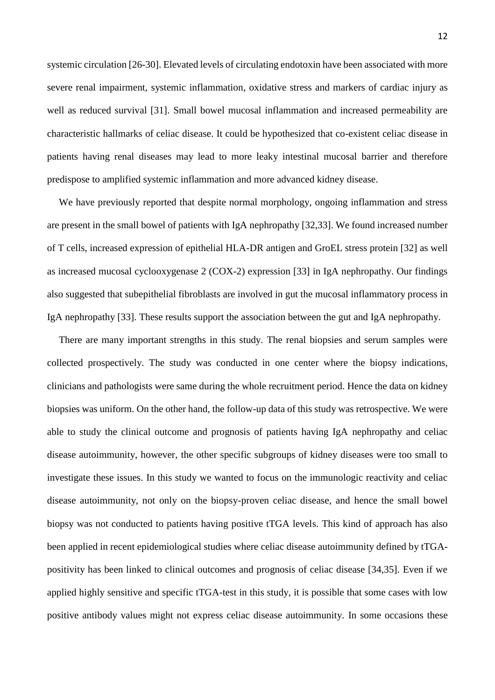systemic circulation [26-30]. Elevated levels of circulating endotoxin have been associated with more severe renal impairment, systemic inflammation, oxidative stress and markers of cardiac injury as well as reduced survival [31]. Small bowel mucosal inflammation and increased permeability are characteristic hallmarks of celiac disease. It could be hypothesized that co-existent celiac disease in patients having renal diseases may lead to more leaky intestinal mucosal barrier and therefore predispose to amplified systemic inflammation and more advanced kidney disease.

We have previously reported that despite normal morphology, ongoing inflammation and stress are present in the small bowel of patients with IgA nephropathy [32,33]. We found increased number of T cells, increased expression of epithelial HLA-DR antigen and GroEL stress protein [32] as well as increased mucosal cyclooxygenase 2 (COX-2) expression [33] in IgA nephropathy. Our findings also suggested that subepithelial fibroblasts are involved in gut the mucosal inflammatory process in IgA nephropathy [33]. These results support the association between the gut and IgA nephropathy.

There are many important strengths in this study. The renal biopsies and serum samples were collected prospectively. The study was conducted in one center where the biopsy indications, clinicians and pathologists were same during the whole recruitment period. Hence the data on kidney biopsies was uniform. On the other hand, the follow-up data of this study was retrospective. We were able to study the clinical outcome and prognosis of patients having IgA nephropathy and celiac disease autoimmunity, however, the other specific subgroups of kidney diseases were too small to investigate these issues. In this study we wanted to focus on the immunologic reactivity and celiac disease autoimmunity, not only on the biopsy-proven celiac disease, and hence the small bowel biopsy was not conducted to patients having positive tTGA levels. This kind of approach has also been applied in recent epidemiological studies where celiac disease autoimmunity defined by tTGApositivity has been linked to clinical outcomes and prognosis of celiac disease [34,35]. Even if we applied highly sensitive and specific tTGA-test in this study, it is possible that some cases with low positive antibody values might not express celiac disease autoimmunity. In some occasions these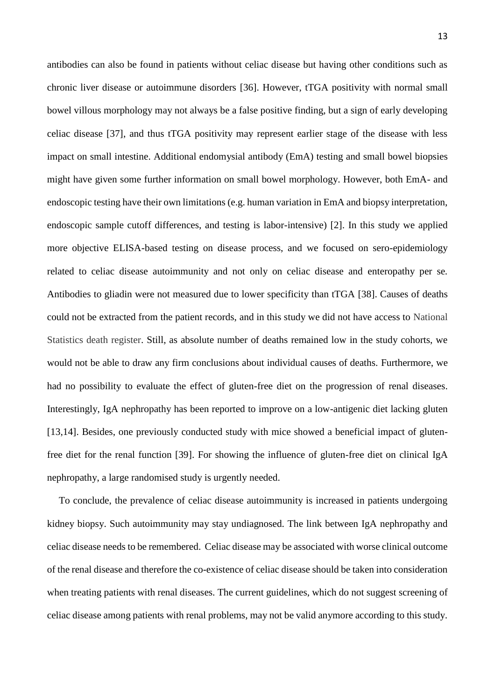antibodies can also be found in patients without celiac disease but having other conditions such as chronic liver disease or autoimmune disorders [36]. However, tTGA positivity with normal small bowel villous morphology may not always be a false positive finding, but a sign of early developing celiac disease [37], and thus tTGA positivity may represent earlier stage of the disease with less impact on small intestine. Additional endomysial antibody (EmA) testing and small bowel biopsies might have given some further information on small bowel morphology. However, both EmA- and endoscopic testing have their own limitations (e.g. human variation in EmA and biopsy interpretation, endoscopic sample cutoff differences, and testing is labor-intensive) [2]. In this study we applied more objective ELISA-based testing on disease process, and we focused on sero-epidemiology related to celiac disease autoimmunity and not only on celiac disease and enteropathy per se*.*  Antibodies to gliadin were not measured due to lower specificity than tTGA [38]. Causes of deaths could not be extracted from the patient records, and in this study we did not have access to National Statistics death register. Still, as absolute number of deaths remained low in the study cohorts, we would not be able to draw any firm conclusions about individual causes of deaths. Furthermore, we had no possibility to evaluate the effect of gluten-free diet on the progression of renal diseases. Interestingly, IgA nephropathy has been reported to improve on a low-antigenic diet lacking gluten [13,14]. Besides, one previously conducted study with mice showed a beneficial impact of glutenfree diet for the renal function [39]. For showing the influence of gluten-free diet on clinical IgA nephropathy, a large randomised study is urgently needed.

To conclude, the prevalence of celiac disease autoimmunity is increased in patients undergoing kidney biopsy. Such autoimmunity may stay undiagnosed. The link between IgA nephropathy and celiac disease needs to be remembered. Celiac disease may be associated with worse clinical outcome of the renal disease and therefore the co-existence of celiac disease should be taken into consideration when treating patients with renal diseases. The current guidelines, which do not suggest screening of celiac disease among patients with renal problems, may not be valid anymore according to this study.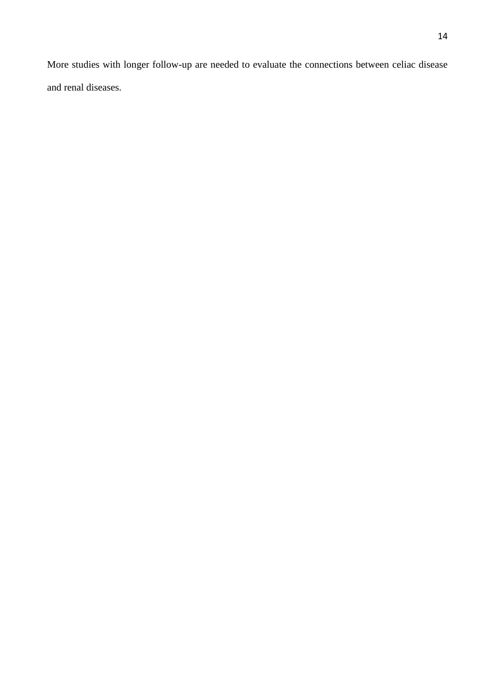More studies with longer follow-up are needed to evaluate the connections between celiac disease and renal diseases.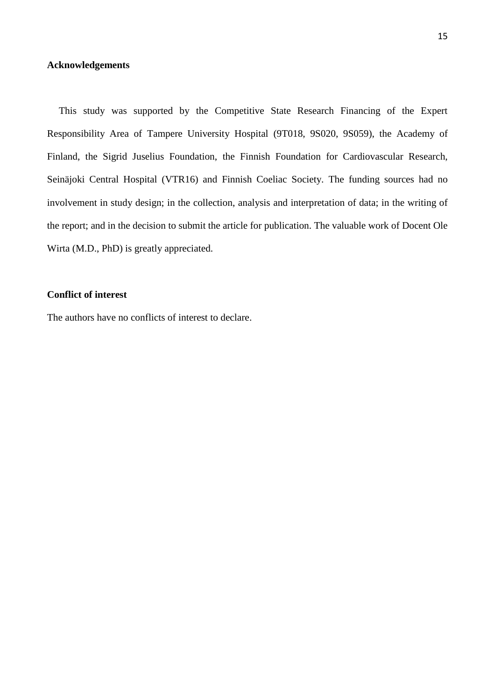### **Acknowledgements**

This study was supported by the Competitive State Research Financing of the Expert Responsibility Area of Tampere University Hospital (9T018, 9S020, 9S059), the Academy of Finland, the Sigrid Juselius Foundation, the Finnish Foundation for Cardiovascular Research, Seinäjoki Central Hospital (VTR16) and Finnish Coeliac Society. The funding sources had no involvement in study design; in the collection, analysis and interpretation of data; in the writing of the report; and in the decision to submit the article for publication. The valuable work of Docent Ole Wirta (M.D., PhD) is greatly appreciated.

### **Conflict of interest**

The authors have no conflicts of interest to declare.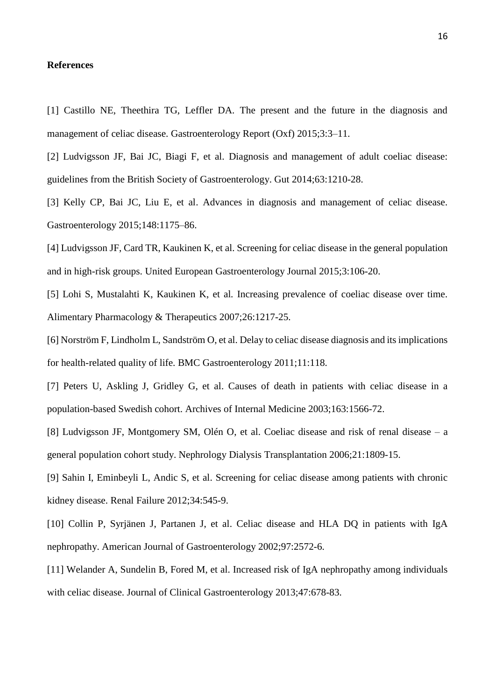#### **References**

[1] Castillo NE, Theethira TG, Leffler DA. The present and the future in the diagnosis and management of celiac disease. Gastroenterology Report (Oxf) 2015;3:3–11.

[2] Ludvigsson JF, Bai JC, Biagi F, et al. Diagnosis and management of adult coeliac disease: guidelines from the British Society of Gastroenterology. Gut 2014;63:1210-28.

[3] Kelly CP, Bai JC, Liu E, et al. Advances in diagnosis and management of celiac disease. Gastroenterology 2015;148:1175–86.

[4] Ludvigsson JF, Card TR, Kaukinen K, et al. Screening for celiac disease in the general population and in high-risk groups. United European Gastroenterology Journal 2015;3:106-20.

[5] Lohi S, Mustalahti K, Kaukinen K, et al*.* Increasing prevalence of coeliac disease over time. Alimentary Pharmacology & Therapeutics 2007;26:1217-25.

[6] Norström F, Lindholm L, Sandström O, et al. Delay to celiac disease diagnosis and its implications for health-related quality of life. BMC Gastroenterology 2011;11:118.

[7] Peters U, Askling J, Gridley G, et al. Causes of death in patients with celiac disease in a population-based Swedish cohort. Archives of Internal Medicine 2003;163:1566-72.

[8] Ludvigsson JF, Montgomery SM, Olén O, et al. Coeliac disease and risk of renal disease – a general population cohort study. Nephrology Dialysis Transplantation 2006;21:1809-15.

[9] Sahin I, Eminbeyli L, Andic S, et al. Screening for celiac disease among patients with chronic kidney disease. Renal Failure 2012;34:545-9.

[10] Collin P, Syrjänen J, Partanen J, et al. Celiac disease and HLA DQ in patients with IgA nephropathy. American Journal of Gastroenterology 2002;97:2572-6.

[11] Welander A, Sundelin B, Fored M, et al. Increased risk of IgA nephropathy among individuals with celiac disease. Journal of Clinical Gastroenterology 2013;47:678-83.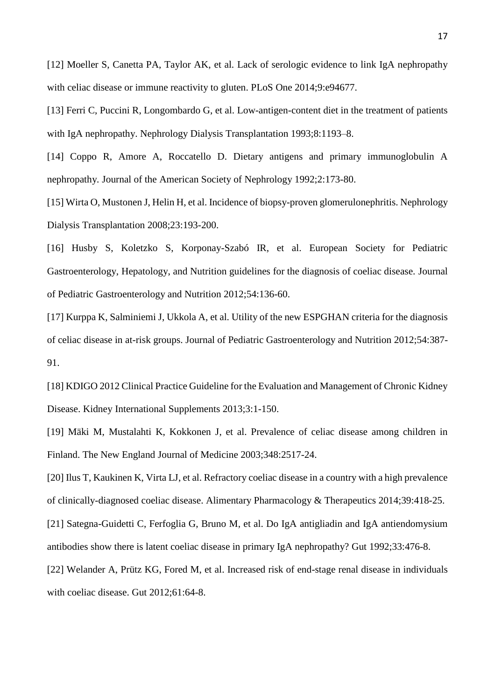[12] Moeller S, Canetta PA, Taylor AK, et al. Lack of serologic evidence to link IgA nephropathy with celiac disease or immune reactivity to gluten. PLoS One 2014;9:e94677.

[13] Ferri C, Puccini R, Longombardo G, et al. Low-antigen-content diet in the treatment of patients with IgA nephropathy. Nephrology Dialysis Transplantation 1993;8:1193-8.

[14] Coppo R, Amore A, Roccatello D. Dietary antigens and primary immunoglobulin A nephropathy*.* Journal of the American Society of Nephrology 1992;2:173-80.

[15] Wirta O, Mustonen J, Helin H, et al. Incidence of biopsy-proven glomerulonephritis. Nephrology Dialysis Transplantation 2008;23:193-200.

[16] Husby S, Koletzko S, Korponay-Szabó IR, et al. European Society for Pediatric Gastroenterology, Hepatology, and Nutrition guidelines for the diagnosis of coeliac disease. Journal of Pediatric Gastroenterology and Nutrition 2012;54:136-60.

[17] Kurppa K, Salminiemi J, Ukkola A, et al. Utility of the new ESPGHAN criteria for the diagnosis of celiac disease in at-risk groups. Journal of Pediatric Gastroenterology and Nutrition 2012;54:387- 91.

[18] KDIGO 2012 Clinical Practice Guideline for the Evaluation and Management of Chronic Kidney Disease. Kidney International Supplements 2013;3:1-150.

[19] Mäki M, Mustalahti K, Kokkonen J, et al. Prevalence of celiac disease among children in Finland. The New England Journal of Medicine 2003;348:2517-24.

[20] Ilus T, Kaukinen K, Virta LJ, et al. Refractory coeliac disease in a country with a high prevalence of clinically-diagnosed coeliac disease. Alimentary Pharmacology & Therapeutics 2014;39:418-25.

[21] Sategna-Guidetti C, Ferfoglia G, Bruno M, et al. Do IgA antigliadin and IgA antiendomysium

antibodies show there is latent coeliac disease in primary IgA nephropathy? Gut 1992;33:476-8.

[22] Welander A, Prütz KG, Fored M, et al. Increased risk of end-stage renal disease in individuals with coeliac disease. Gut 2012;61:64-8.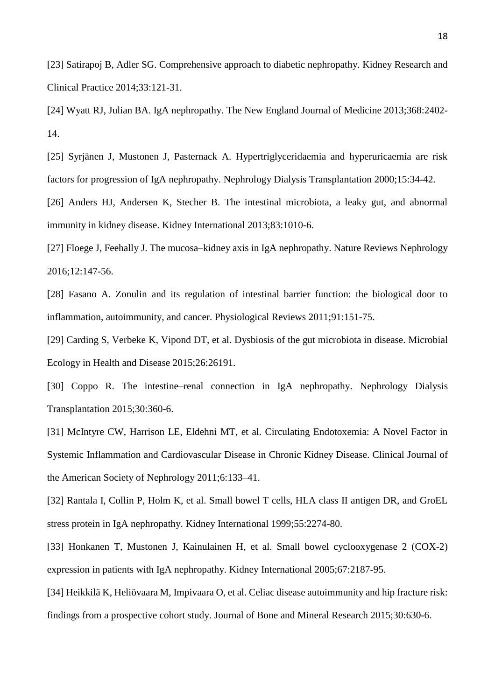[23] Satirapoj B, Adler SG. Comprehensive approach to diabetic nephropathy*.* Kidney Research and Clinical Practice 2014;33:121-31.

[24] Wyatt RJ, Julian BA. IgA nephropathy. The New England Journal of Medicine 2013;368:2402- 14.

[25] Syrjänen J, Mustonen J, Pasternack A. Hypertriglyceridaemia and hyperuricaemia are risk factors for progression of IgA nephropathy. Nephrology Dialysis Transplantation 2000;15:34-42.

[26] Anders HJ, Andersen K, Stecher B. The intestinal microbiota, a leaky gut, and abnormal immunity in kidney disease. Kidney International 2013;83:1010-6.

[27] Floege J, Feehally J. The mucosa–kidney axis in IgA nephropathy. Nature Reviews Nephrology 2016;12:147-56.

[28] Fasano A. Zonulin and its regulation of intestinal barrier function: the biological door to inflammation, autoimmunity, and cancer. Physiological Reviews 2011;91:151-75.

[29] Carding S, Verbeke K, Vipond DT, et al. Dysbiosis of the gut microbiota in disease. Microbial Ecology in Health and Disease 2015;26:26191.

[30] Coppo R. The intestine–renal connection in IgA nephropathy. Nephrology Dialysis Transplantation 2015;30:360-6.

[31] McIntyre CW, Harrison LE, Eldehni MT, et al. Circulating Endotoxemia: A Novel Factor in Systemic Inflammation and Cardiovascular Disease in Chronic Kidney Disease. Clinical Journal of the American Society of Nephrology 2011;6:133–41.

[32] Rantala I, Collin P, Holm K, et al. Small bowel T cells, HLA class II antigen DR, and GroEL stress protein in IgA nephropathy. Kidney International 1999;55:2274-80.

[33] Honkanen T, Mustonen J, Kainulainen H, et al. Small bowel cyclooxygenase 2 (COX-2) expression in patients with IgA nephropathy. Kidney International 2005;67:2187-95.

[34] Heikkilä K, Heliövaara M, Impivaara O, et al. Celiac disease autoimmunity and hip fracture risk: findings from a prospective cohort study. Journal of Bone and Mineral Research 2015;30:630-6.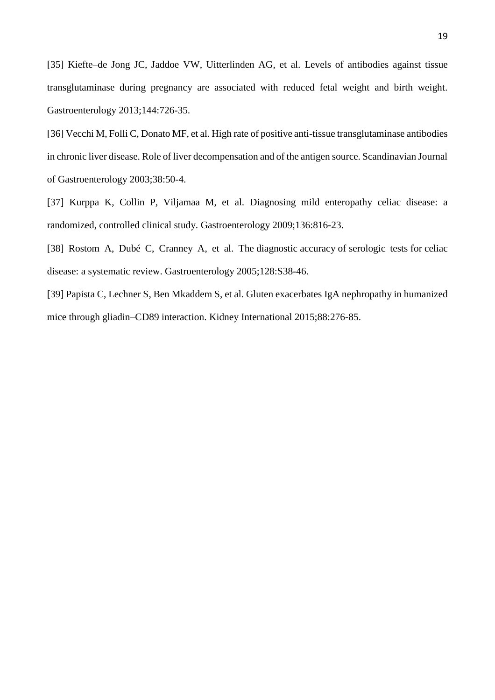[35] Kiefte–de Jong JC, Jaddoe VW, Uitterlinden AG, et al. Levels of antibodies against tissue transglutaminase during pregnancy are associated with reduced fetal weight and birth weight. Gastroenterology 2013;144:726-35.

[36] Vecchi M, Folli C, Donato MF, et al. High rate of positive anti-tissue transglutaminase antibodies in chronic liver disease. Role of liver decompensation and of the antigen source. Scandinavian Journal of Gastroenterology 2003;38:50-4.

[37] Kurppa K, Collin P, Viljamaa M, et al. Diagnosing mild enteropathy celiac disease: a randomized, controlled clinical study. Gastroenterology 2009;136:816-23.

[38] Rostom A, Dubé C, Cranney A, et al. The diagnostic accuracy of serologic tests for celiac disease: a systematic review. Gastroenterology 2005;128:S38-46.

[39] Papista C, Lechner S, Ben Mkaddem S, et al. Gluten exacerbates IgA nephropathy in humanized mice through gliadin–CD89 interaction. Kidney International 2015;88:276-85.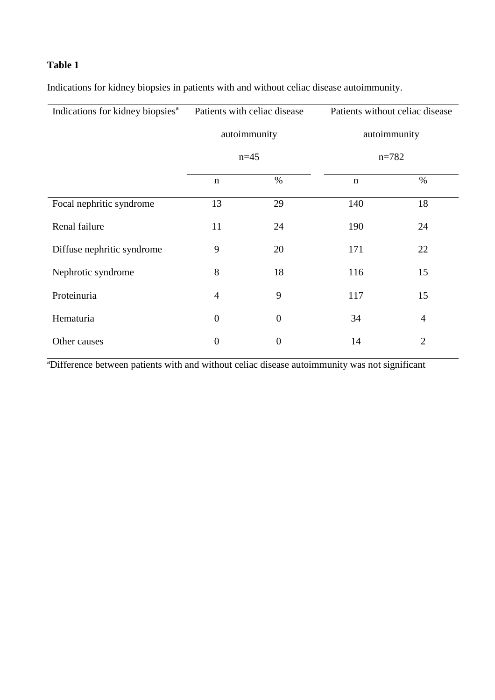# **Table 1**

Indications for kidney biopsies in patients with and without celiac disease autoimmunity.

| Indications for kidney biopsies <sup>a</sup> | Patients with celiac disease |                  | Patients without celiac disease |                |  |
|----------------------------------------------|------------------------------|------------------|---------------------------------|----------------|--|
|                                              | autoimmunity                 |                  | autoimmunity                    |                |  |
|                                              | $n=45$                       |                  | $n = 782$                       |                |  |
|                                              | $\mathbf n$                  | $\%$             | $\mathbf n$                     | $\%$           |  |
| Focal nephritic syndrome                     | 13                           | 29               | 140                             | 18             |  |
| Renal failure                                | 11                           | 24               | 190                             | 24             |  |
| Diffuse nephritic syndrome                   | 9                            | 20               | 171                             | 22             |  |
| Nephrotic syndrome                           | 8                            | 18               | 116                             | 15             |  |
| Proteinuria                                  | $\overline{4}$               | 9                | 117                             | 15             |  |
| Hematuria                                    | $\overline{0}$               | $\overline{0}$   | 34                              | $\overline{4}$ |  |
| Other causes                                 | $\boldsymbol{0}$             | $\boldsymbol{0}$ | 14                              | $\overline{2}$ |  |

<sup>a</sup>Difference between patients with and without celiac disease autoimmunity was not significant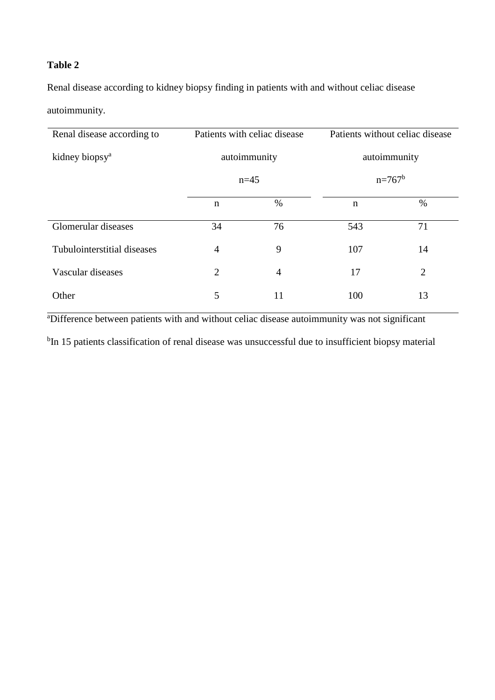# **Table 2**

Renal disease according to kidney biopsy finding in patients with and without celiac disease

autoimmunity.

| Renal disease according to  | Patients with celiac disease |                | Patients without celiac disease |                |  |
|-----------------------------|------------------------------|----------------|---------------------------------|----------------|--|
| kidney biopsy <sup>a</sup>  | autoimmunity                 |                | autoimmunity                    |                |  |
|                             | $n=45$                       |                | $n=767^b$                       |                |  |
|                             | $\mathbf n$                  | $\%$           | $\mathbf n$                     | $\%$           |  |
| Glomerular diseases         | 34                           | 76             | 543                             | 71             |  |
| Tubulointerstitial diseases | $\overline{4}$               | 9              | 107                             | 14             |  |
| Vascular diseases           | $\overline{2}$               | $\overline{4}$ | 17                              | $\overline{2}$ |  |
| Other                       | 5                            | 11             | 100                             | 13             |  |

<sup>a</sup>Difference between patients with and without celiac disease autoimmunity was not significant

<sup>b</sup>In 15 patients classification of renal disease was unsuccessful due to insufficient biopsy material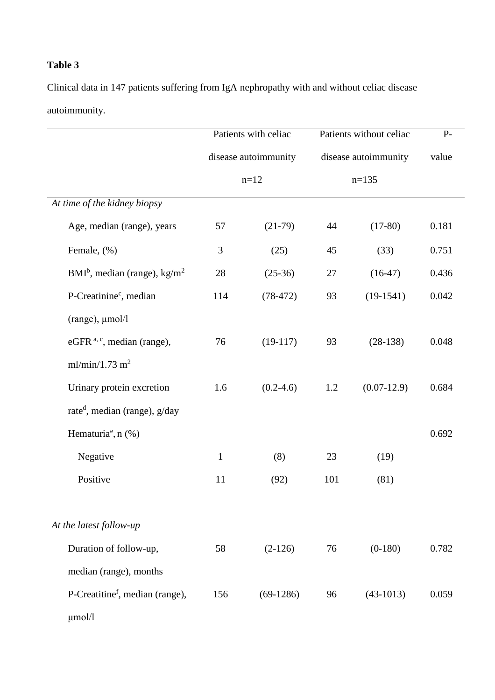# **Table 3**

Clinical data in 147 patients suffering from IgA nephropathy with and without celiac disease autoimmunity.

|                                             | Patients with celiac<br>disease autoimmunity<br>$n=12$ |             | Patients without celiac<br>disease autoimmunity<br>$n=135$ |               | $P-$<br>value |
|---------------------------------------------|--------------------------------------------------------|-------------|------------------------------------------------------------|---------------|---------------|
|                                             |                                                        |             |                                                            |               |               |
|                                             |                                                        |             |                                                            |               |               |
| At time of the kidney biopsy                |                                                        |             |                                                            |               |               |
| Age, median (range), years                  | 57                                                     | $(21-79)$   | 44                                                         | $(17-80)$     | 0.181         |
| Female, (%)                                 | 3                                                      | (25)        | 45                                                         | (33)          | 0.751         |
| $BMIb$ , median (range), kg/m <sup>2</sup>  | 28                                                     | $(25-36)$   | 27                                                         | $(16-47)$     | 0.436         |
| P-Creatinine <sup>c</sup> , median          | 114                                                    | $(78-472)$  | 93                                                         | $(19-1541)$   | 0.042         |
| $(range)$ , $µmol/l$                        |                                                        |             |                                                            |               |               |
| eGFR <sup>a, c</sup> , median (range),      | 76                                                     | $(19-117)$  | 93                                                         | $(28-138)$    | 0.048         |
| ml/min/1.73 m <sup>2</sup>                  |                                                        |             |                                                            |               |               |
| Urinary protein excretion                   | 1.6                                                    | $(0.2-4.6)$ | 1.2                                                        | $(0.07-12.9)$ | 0.684         |
| rate <sup>d</sup> , median (range), $g/day$ |                                                        |             |                                                            |               |               |
| Hematuria <sup>e</sup> , $n$ (%)            |                                                        |             |                                                            |               | 0.692         |
| Negative                                    | $\mathbf{1}$                                           | (8)         | 23                                                         | (19)          |               |
| Positive                                    | 11                                                     | (92)        | 101                                                        | (81)          |               |
| At the latest follow-up                     |                                                        |             |                                                            |               |               |
| Duration of follow-up,                      | 58                                                     | $(2-126)$   | 76                                                         | $(0-180)$     | 0.782         |
|                                             |                                                        |             |                                                            |               |               |
| P-Creatitine <sup>f</sup> , median (range), | 156                                                    | $(69-1286)$ | 96                                                         | $(43-1013)$   | 0.059         |
| median (range), months<br>$\mu$ mol/l       |                                                        |             |                                                            |               |               |